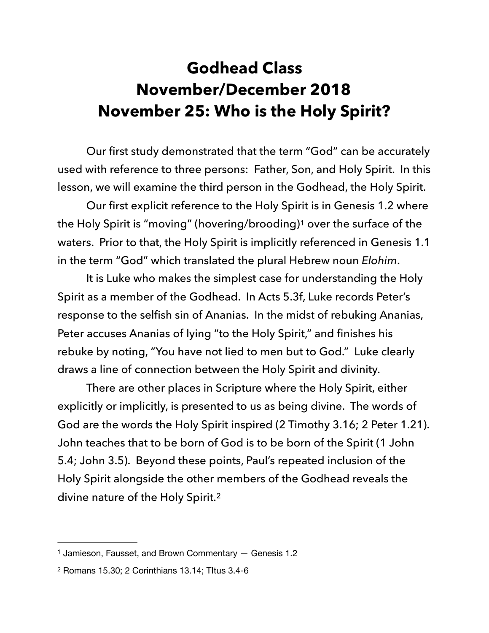## **Godhead Class November/December 2018 November 25: Who is the Holy Spirit?**

 Our first study demonstrated that the term "God" can be accurately used with reference to three persons: Father, Son, and Holy Spirit. In this lesson, we will examine the third person in the Godhead, the Holy Spirit.

<span id="page-0-2"></span> Our first explicit reference to the Holy Spirit is in Genesis 1.2 where the Holy Spirit is "moving" (hovering/brooding)<sup>[1](#page-0-0)</sup> over the surface of the waters. Prior to that, the Holy Spirit is implicitly referenced in Genesis 1.1 in the term "God" which translated the plural Hebrew noun *Elohim*.

 It is Luke who makes the simplest case for understanding the Holy Spirit as a member of the Godhead. In Acts 5.3f, Luke records Peter's response to the selfish sin of Ananias. In the midst of rebuking Ananias, Peter accuses Ananias of lying "to the Holy Spirit," and finishes his rebuke by noting, "You have not lied to men but to God." Luke clearly draws a line of connection between the Holy Spirit and divinity.

 There are other places in Scripture where the Holy Spirit, either explicitly or implicitly, is presented to us as being divine. The words of God are the words the Holy Spirit inspired (2 Timothy 3.16; 2 Peter 1.21). John teaches that to be born of God is to be born of the Spirit (1 John 5.4; John 3.5). Beyond these points, Paul's repeated inclusion of the Holy Spirit alongside the other members of the Godhead reveals the divine nature of the Holy Spirit.<sup>[2](#page-0-1)</sup>

<span id="page-0-3"></span><span id="page-0-0"></span>[<sup>1</sup>](#page-0-2) Jamieson, Fausset, and Brown Commentary — Genesis 1.2

<span id="page-0-1"></span>[<sup>2</sup>](#page-0-3) Romans 15.30; 2 Corinthians 13.14; TItus 3.4-6